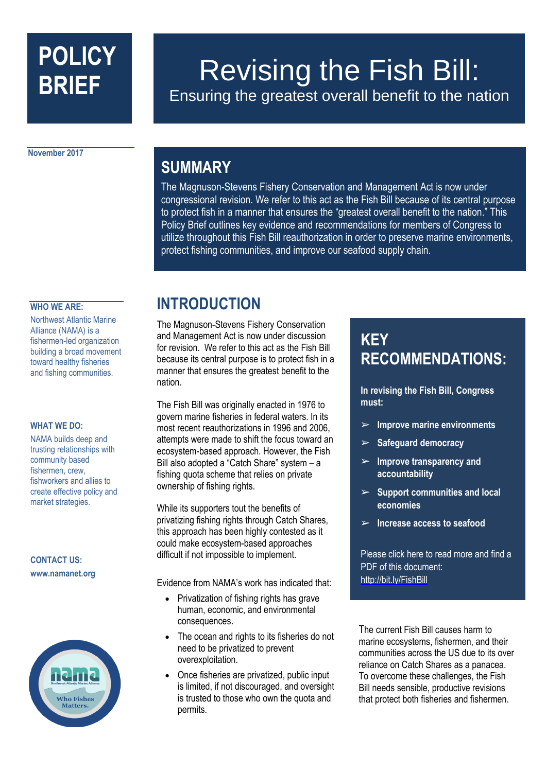# **POLICY BRIEF**

## Revising the Fish Bill: Ensuring the greatest overall benefit to the nation

**November 2017**

### **SUMMARY**

The Magnuson-Stevens Fishery Conservation and Management Act is now under congressional revision. We refer to this act as the Fish Bill because of its central purpose to protect fish in a manner that ensures the "greatest overall benefit to the nation." This Policy Brief outlines key evidence and recommendations for members of Congress to utilize throughout this Fish Bill reauthorization in order to preserve marine environments, protect fishing communities, and improve our seafood supply chain.

#### **WHO WE ARE:**

Northwest Atlantic Marine Alliance (NAMA) is a fishermen-led organization building a broad movement toward healthy fisheries and fishing communities.

#### **WHAT WE DO:**

NAMA builds deep and trusting relationships with community based fishermen, crew, fishworkers and allies to create effective policy and market strategies.

#### **CONTACT US: www.namanet.org**



### **INTRODUCTION**

The Magnuson-Stevens Fishery Conservation and Management Act is now under discussion for revision. We refer to this act as the Fish Bill because its central purpose is to protect fish in a manner that ensures the greatest benefit to the nation.

The Fish Bill was originally enacted in 1976 to govern marine fisheries in federal waters. In its most recent reauthorizations in 1996 and 2006, attempts were made to shift the focus toward an ecosystem-based approach. However, the Fish Bill also adopted a "Catch Share" system – a fishing quota scheme that relies on private ownership of fishing rights.

While its supporters tout the benefits of privatizing fishing rights through Catch Shares, this approach has been highly contested as it could make ecosystem-based approaches difficult if not impossible to implement.

Evidence from NAMA's work has indicated that:

- Privatization of fishing rights has grave human, economic, and environmental consequences.
- The ocean and rights to its fisheries do not need to be privatized to prevent overexploitation.
- Once fisheries are privatized, public input is limited, if not discouraged, and oversight is trusted to those who own the quota and permits.

### **KEY RECOMMENDATIONS:**

**In revising the Fish Bill, Congress must:**

- ➢ **Improve marine environments**
- ➢ **Safeguard democracy**
- ➢ **Improve transparency and accountability**
- ➢ **Support communities and local economies**
- ➢ **Increase access to seafood**

Please click here to read more and find a PDF of this document: <http://bit.ly/FishBill>

The current Fish Bill causes harm to marine ecosystems, fishermen, and their communities across the US due to its over reliance on Catch Shares as a panacea. To overcome these challenges, the Fish Bill needs sensible, productive revisions that protect both fisheries and fishermen.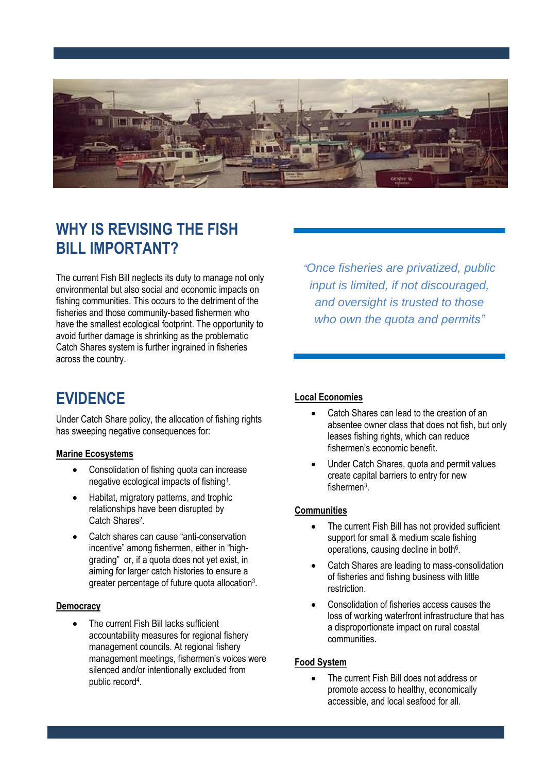

### **WHY IS REVISING THE FISH BILL IMPORTANT?**

The current Fish Bill neglects its duty to manage not only environmental but also social and economic impacts on fishing communities. This occurs to the detriment of the fisheries and those community-based fishermen who have the smallest ecological footprint. The opportunity to avoid further damage is shrinking as the problematic Catch Shares system is further ingrained in fisheries across the country.

*"Once fisheries are privatized, public input is limited, if not discouraged, and oversight is trusted to those who own the quota and permits"*

### **EVIDENCE**

Under Catch Share policy, the allocation of fishing rights has sweeping negative consequences for:

#### **Marine Ecosystems**

- Consolidation of fishing quota can increase negative ecological impacts of fishing<sup>1</sup>.
- Habitat, migratory patterns, and trophic relationships have been disrupted by Catch Shares<sup>2</sup>.
- Catch shares can cause "anti-conservation incentive" among fishermen, either in "highgrading" or, if a quota does not yet exist, in aiming for larger catch histories to ensure a greater percentage of future quota allocation<sup>3</sup>.

#### **Democracy**

The current Fish Bill lacks sufficient accountability measures for regional fishery management councils. At regional fishery management meetings, fishermen's voices were silenced and/or intentionally excluded from public record<sup>4</sup>.

#### **Local Economies**

- Catch Shares can lead to the creation of an absentee owner class that does not fish, but only leases fishing rights, which can reduce fishermen's economic benefit.
- Under Catch Shares, quota and permit values create capital barriers to entry for new fishermen<sup>3</sup>.

#### **Communities**

- The current Fish Bill has not provided sufficient support for small & medium scale fishing operations, causing decline in both<sup>6</sup>.
- Catch Shares are leading to mass-consolidation of fisheries and fishing business with little restriction.
- Consolidation of fisheries access causes the loss of working waterfront infrastructure that has a disproportionate impact on rural coastal communities.

#### **Food System**

The current Fish Bill does not address or promote access to healthy, economically accessible, and local seafood for all.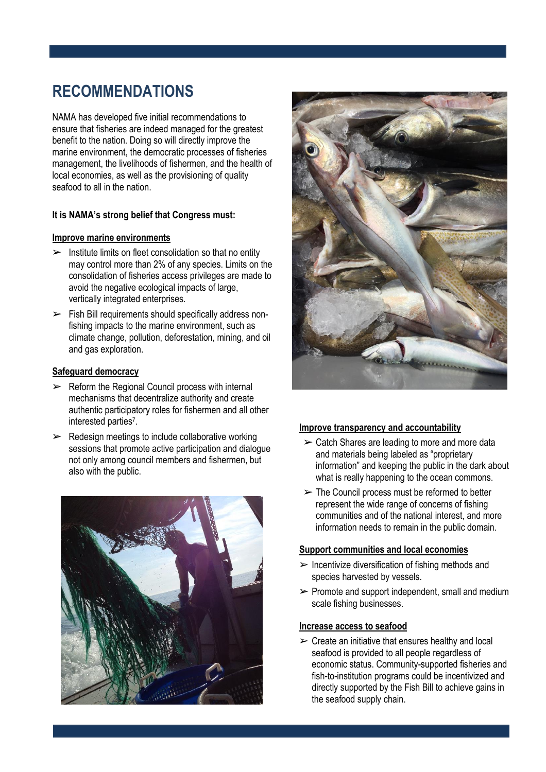### **RECOMMENDATIONS**

NAMA has developed five initial recommendations to ensure that fisheries are indeed managed for the greatest benefit to the nation. Doing so will directly improve the marine environment, the democratic processes of fisheries management, the livelihoods of fishermen, and the health of local economies, as well as the provisioning of quality seafood to all in the nation.

#### **It is NAMA's strong belief that Congress must:**

#### **Improve marine environments**

- $\triangleright$  Institute limits on fleet consolidation so that no entity may control more than 2% of any species. Limits on the consolidation of fisheries access privileges are made to avoid the negative ecological impacts of large, vertically integrated enterprises.
- ➢ Fish Bill requirements should specifically address nonfishing impacts to the marine environment, such as climate change, pollution, deforestation, mining, and oil and gas exploration.

#### **Safeguard democracy**

- $\triangleright$  Reform the Regional Council process with internal mechanisms that decentralize authority and create authentic participatory roles for fishermen and all other interested parties<sup>7</sup>.
- $\triangleright$  Redesign meetings to include collaborative working sessions that promote active participation and dialogue not only among council members and fishermen, but also with the public.





#### **Improve transparency and accountability**

- $\geq$  Catch Shares are leading to more and more data and materials being labeled as "proprietary information" and keeping the public in the dark about what is really happening to the ocean commons.
- $\triangleright$  The Council process must be reformed to better represent the wide range of concerns of fishing communities and of the national interest, and more information needs to remain in the public domain.

#### **Support communities and local economies**

- $\triangleright$  Incentivize diversification of fishing methods and species harvested by vessels.
- $\triangleright$  Promote and support independent, small and medium scale fishing businesses.

#### **Increase access to seafood**

 $\triangleright$  Create an initiative that ensures healthy and local seafood is provided to all people regardless of economic status. Community-supported fisheries and fish-to-institution programs could be incentivized and directly supported by the Fish Bill to achieve gains in the seafood supply chain.